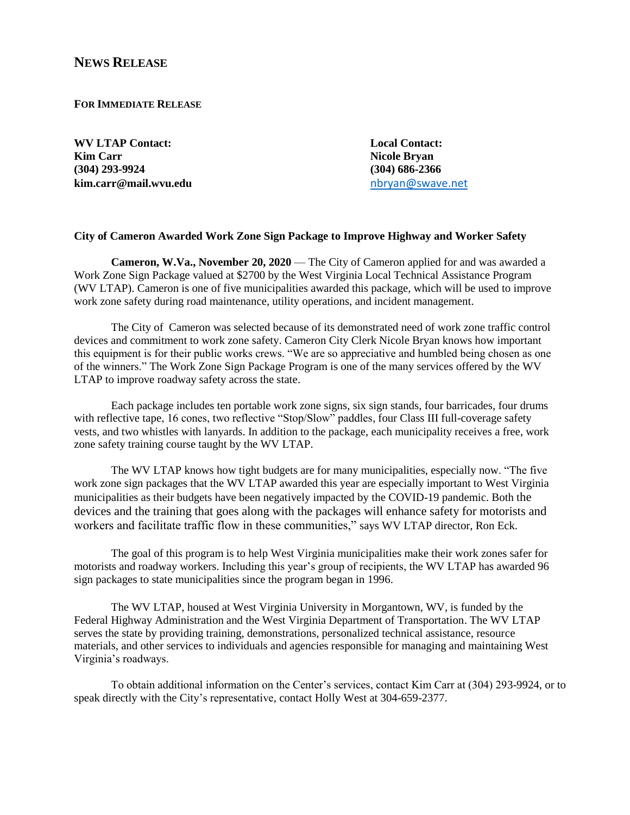## **NEWS RELEASE**

**FOR IMMEDIATE RELEASE**

**WV LTAP Contact: Local Contact: Kim Carr Nicole Bryan (304) 293-9924 (304) 686-2366 kim.carr@mail.wvu.edu** [nbryan@swave.net](mailto:nbryan@swave.net)

## **City of Cameron Awarded Work Zone Sign Package to Improve Highway and Worker Safety**

**Cameron, W.Va., November 20, 2020** — The City of Cameron applied for and was awarded a Work Zone Sign Package valued at \$2700 by the West Virginia Local Technical Assistance Program (WV LTAP). Cameron is one of five municipalities awarded this package, which will be used to improve work zone safety during road maintenance, utility operations, and incident management.

The City of Cameron was selected because of its demonstrated need of work zone traffic control devices and commitment to work zone safety. Cameron City Clerk Nicole Bryan knows how important this equipment is for their public works crews. "We are so appreciative and humbled being chosen as one of the winners." The Work Zone Sign Package Program is one of the many services offered by the WV LTAP to improve roadway safety across the state.

Each package includes ten portable work zone signs, six sign stands, four barricades, four drums with reflective tape, 16 cones, two reflective "Stop/Slow" paddles, four Class III full-coverage safety vests, and two whistles with lanyards. In addition to the package, each municipality receives a free, work zone safety training course taught by the WV LTAP.

The WV LTAP knows how tight budgets are for many municipalities, especially now. "The five work zone sign packages that the WV LTAP awarded this year are especially important to West Virginia municipalities as their budgets have been negatively impacted by the COVID-19 pandemic. Both the devices and the training that goes along with the packages will enhance safety for motorists and workers and facilitate traffic flow in these communities," says WV LTAP director, Ron Eck.

The goal of this program is to help West Virginia municipalities make their work zones safer for motorists and roadway workers. Including this year's group of recipients, the WV LTAP has awarded 96 sign packages to state municipalities since the program began in 1996.

The WV LTAP, housed at West Virginia University in Morgantown, WV, is funded by the Federal Highway Administration and the West Virginia Department of Transportation. The WV LTAP serves the state by providing training, demonstrations, personalized technical assistance, resource materials, and other services to individuals and agencies responsible for managing and maintaining West Virginia's roadways.

To obtain additional information on the Center's services, contact Kim Carr at (304) 293-9924, or to speak directly with the City's representative, contact Holly West at 304-659-2377.